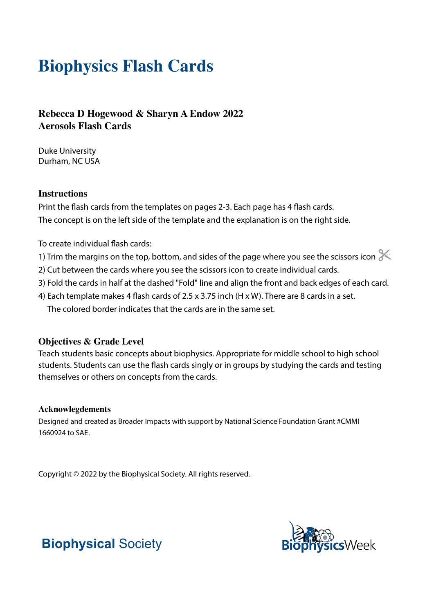# **Biophysics Flash Cards**

**Rebecca D Hogewood & Sharyn A Endow 2022 Aerosols Flash Cards**

Duke University Durham, NC USA

### **Instructions**

Print the flash cards from the templates on pages 2-3. Each page has 4 flash cards. The concept is on the left side of the template and the explanation is on the right side.

To create individual flash cards:

- 1) Trim the margins on the top, bottom, and sides of the page where you see the scissors icon  $\ll$
- 2) Cut between the cards where you see the scissors icon to create individual cards.
- 3) Fold the cards in half at the dashed "Fold" line and align the front and back edges of each card.
- 4) Each template makes 4 flash cards of 2.5 x 3.75 inch (H x W). There are 8 cards in a set. The colored border indicates that the cards are in the same set.

### **Objectives & Grade Level**

Teach students basic concepts about biophysics. Appropriate for middle school to high school students. Students can use the flash cards singly or in groups by studying the cards and testing themselves or others on concepts from the cards.

#### **Acknowlegdements**

Designed and created as Broader Impacts with support by National Science Foundation Grant #CMMI 1660924 to SAE.

Copyright © 2022 by the Biophysical Society. All rights reserved.



## **Biophysical** Society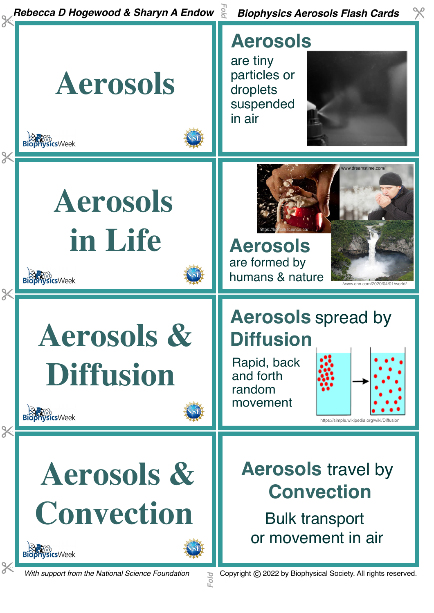